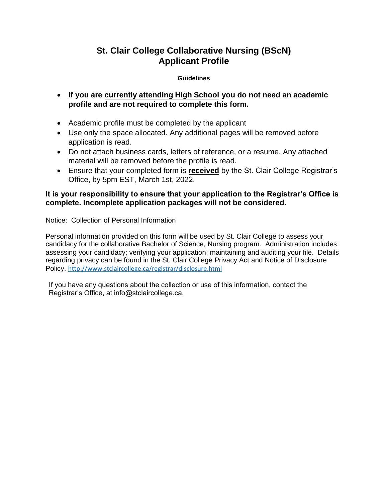## **St. Clair College Collaborative Nursing (BScN) Applicant Profile**

### **Guidelines**

- **If you are currently attending High School you do not need an academic profile and are not required to complete this form.**
- Academic profile must be completed by the applicant
- Use only the space allocated. Any additional pages will be removed before application is read.
- Do not attach business cards, letters of reference, or a resume. Any attached material will be removed before the profile is read.
- Ensure that your completed form is **received** by the St. Clair College Registrar's Office, by 5pm EST, March 1st, 2022.

### **It is your responsibility to ensure that your application to the Registrar's Office is complete. Incomplete application packages will not be considered.**

Notice: Collection of Personal Information

Personal information provided on this form will be used by St. Clair College to assess your candidacy for the collaborative Bachelor of Science, Nursing program. Administration includes: assessing your candidacy; verifying your application; maintaining and auditing your file. Details regarding privacy can be found in the St. Clair College Privacy Act and Notice of Disclosure Policy. <http://www.stclaircollege.ca/registrar/disclosure.html>

If you have any questions about the collection or use of this information, contact the Registrar's Office, at info@stclaircollege.ca.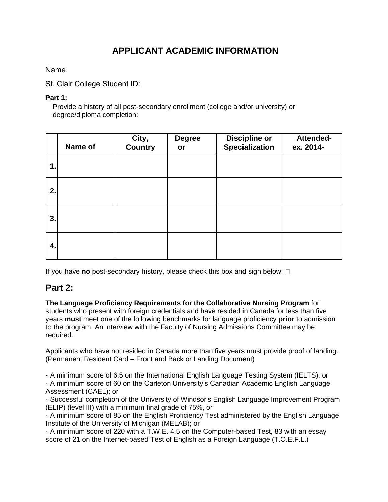# **APPLICANT ACADEMIC INFORMATION**

Name:

St. Clair College Student ID:

### **Part 1:**

Provide a history of all post-secondary enrollment (college and/or university) or degree/diploma completion:

|    | Name of | City,<br><b>Country</b> | <b>Degree</b><br>or | <b>Discipline or</b><br><b>Specialization</b> | Attended-<br>ex. 2014- |
|----|---------|-------------------------|---------------------|-----------------------------------------------|------------------------|
| 1. |         |                         |                     |                                               |                        |
| 2. |         |                         |                     |                                               |                        |
| 3. |         |                         |                     |                                               |                        |
| 4. |         |                         |                     |                                               |                        |

If you have **no** post-secondary history, please check this box and sign below:

## **Part 2:**

**The Language Proficiency Requirements for the Collaborative Nursing Program** for students who present with foreign credentials and have resided in Canada for less than five years **must** meet one of the following benchmarks for language proficiency **prior** to admission to the program. An interview with the Faculty of Nursing Admissions Committee may be required.

Applicants who have not resided in Canada more than five years must provide proof of landing. (Permanent Resident Card – Front and Back or Landing Document)

- A minimum score of 6.5 on the International English Language Testing System (IELTS); or

- A minimum score of 60 on the Carleton University's Canadian Academic English Language Assessment (CAEL); or

- Successful completion of the University of Windsor's English Language Improvement Program (ELIP) (level III) with a minimum final grade of 75%, or

- A minimum score of 85 on the English Proficiency Test administered by the English Language Institute of the University of Michigan (MELAB); or

- A minimum score of 220 with a T.W.E. 4.5 on the Computer-based Test, 83 with an essay score of 21 on the Internet-based Test of English as a Foreign Language (T.O.E.F.L.)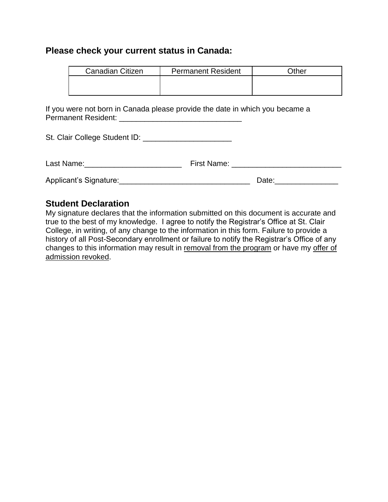### **Please check your current status in Canada:**

| <b>Canadian Citizen</b> | <b>Permanent Resident</b> | )ther |
|-------------------------|---------------------------|-------|
|                         |                           |       |
|                         |                           |       |

If you were not born in Canada please provide the date in which you became a Permanent Resident: \_\_\_\_\_\_\_\_\_\_\_\_\_\_\_\_\_\_\_\_\_\_\_\_\_\_\_\_\_

| St. Clair College Student ID: |                                                                                                                                                                                                                                |       |
|-------------------------------|--------------------------------------------------------------------------------------------------------------------------------------------------------------------------------------------------------------------------------|-------|
| Last Name:                    | First Name: The Contract of the Contract of the Contract of the Contract of the Contract of the Contract of the Contract of the Contract of the Contract of the Contract of the Contract of the Contract of the Contract of th |       |
| Applicant's Signature:        |                                                                                                                                                                                                                                | Date: |

## **Student Declaration**

My signature declares that the information submitted on this document is accurate and true to the best of my knowledge. I agree to notify the Registrar's Office at St. Clair College, in writing, of any change to the information in this form. Failure to provide a history of all Post-Secondary enrollment or failure to notify the Registrar's Office of any changes to this information may result in removal from the program or have my offer of admission revoked.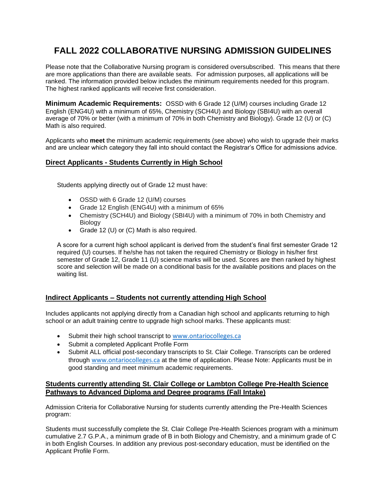# **FALL 2022 COLLABORATIVE NURSING ADMISSION GUIDELINES**

Please note that the Collaborative Nursing program is considered oversubscribed. This means that there are more applications than there are available seats. For admission purposes, all applications will be ranked. The information provided below includes the minimum requirements needed for this program. The highest ranked applicants will receive first consideration.

**Minimum Academic Requirements:** OSSD with 6 Grade 12 (U/M) courses including Grade 12 English (ENG4U) with a minimum of 65%, Chemistry (SCH4U) and Biology (SBI4U) with an overall average of 70% or better (with a minimum of 70% in both Chemistry and Biology). Grade 12 (U) or (C) Math is also required.

Applicants who **meet** the minimum academic requirements (see above) who wish to upgrade their marks and are unclear which category they fall into should contact the Registrar's Office for admissions advice.

### **Direct Applicants - Students Currently in High School**

Students applying directly out of Grade 12 must have:

- OSSD with 6 Grade 12 (U/M) courses
- Grade 12 English (ENG4U) with a minimum of 65%
- Chemistry (SCH4U) and Biology (SBI4U) with a minimum of 70% in both Chemistry and **Biology**
- Grade 12 (U) or (C) Math is also required.

A score for a current high school applicant is derived from the student's final first semester Grade 12 required (U) courses. If he/she has not taken the required Chemistry or Biology in his/her first semester of Grade 12, Grade 11 (U) science marks will be used. Scores are then ranked by highest score and selection will be made on a conditional basis for the available positions and places on the waiting list.

#### **Indirect Applicants – Students not currently attending High School**

Includes applicants not applying directly from a Canadian high school and applicants returning to high school or an adult training centre to upgrade high school marks. These applicants must:

- Submit their high school transcript to [www.ontariocolleges.ca](http://www.ontariocolleges.ca/)
- Submit a completed Applicant Profile Form
- Submit ALL official post-secondary transcripts to St. Clair College. Transcripts can be ordered through [www.ontariocolleges.ca](http://www.ontariocolleges.ca/) at the time of application. Please Note: Applicants must be in good standing and meet minimum academic requirements.

### **Students currently attending St. Clair College or Lambton College Pre-Health Science Pathways to Advanced Diploma and Degree programs (Fall Intake)**

Admission Criteria for Collaborative Nursing for students currently attending the Pre-Health Sciences program:

Students must successfully complete the St. Clair College Pre-Health Sciences program with a minimum cumulative 2.7 G.P.A., a minimum grade of B in both Biology and Chemistry, and a minimum grade of C in both English Courses. In addition any previous post-secondary education, must be identified on the Applicant Profile Form.